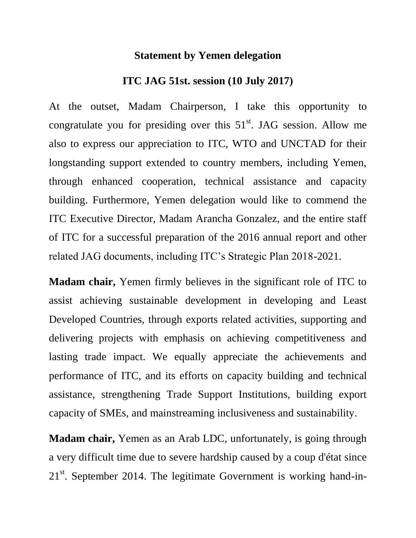## **Statement by Yemen delegation**

## **ITC JAG 51st. session (10 July 2017)**

At the outset, Madam Chairperson, I take this opportunity to congratulate you for presiding over this  $51<sup>st</sup>$ . JAG session. Allow me also to express our appreciation to ITC, WTO and UNCTAD for their longstanding support extended to country members, including Yemen, through enhanced cooperation, technical assistance and capacity building. Furthermore, Yemen delegation would like to commend the ITC Executive Director, Madam Arancha Gonzalez, and the entire staff of ITC for a successful preparation of the 2016 annual report and other related JAG documents, including ITC's Strategic Plan 2018-2021.

**Madam chair,** Yemen firmly believes in the significant role of ITC to assist achieving sustainable development in developing and Least Developed Countries, through exports related activities, supporting and delivering projects with emphasis on achieving competitiveness and lasting trade impact. We equally appreciate the achievements and performance of ITC, and its efforts on capacity building and technical assistance, strengthening Trade Support Institutions, building export capacity of SMEs, and mainstreaming inclusiveness and sustainability.

**Madam chair,** Yemen as an Arab LDC, unfortunately, is going through a very difficult time due to severe hardship caused by a coup d'état since  $21<sup>st</sup>$ . September 2014. The legitimate Government is working hand-in